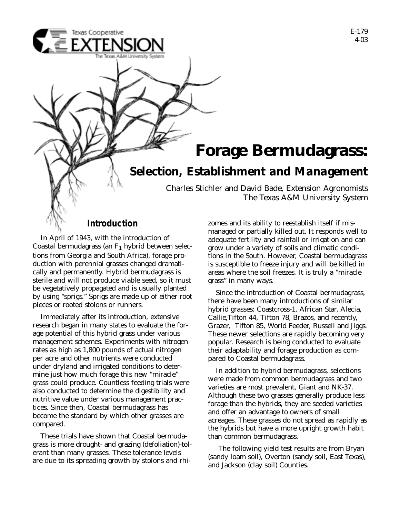

In April of 1943, with the introduction of Coastal bermudagrass (an  $F_1$  hybrid between selections from Georgia and South Africa), forage production with perennial grasses changed dramatically and permanently. Hybrid bermudagrass is sterile and will not produce viable seed, so it must be vegetatively propagated and is usually planted by using "sprigs." Sprigs are made up of either root pieces or rooted stolons or runners.

Immediately after its introduction, extensive research began in many states to evaluate the forage potential of this hybrid grass under various management schemes. Experiments with nitrogen rates as high as 1,800 pounds of actual nitrogen per acre and other nutrients were conducted under dryland and irrigated conditions to determine just how much forage this new "miracle" grass could produce. Countless feeding trials were also conducted to determine the digestibility and nutritive value under various management practices. Since then, Coastal bermudagrass has become the standard by which other grasses are compared.

These trials have shown that Coastal bermudagrass is more drought- and grazing (defoliation)-tolerant than many grasses. These tolerance levels are due to its spreading growth by stolons and rhimanaged or partially killed out. It responds well to adequate fertility and rainfall or irrigation and can grow under a variety of soils and climatic conditions in the South. However, Coastal bermudagrass is susceptible to freeze injury and will be killed in areas where the soil freezes. It is truly a "miracle grass" in many ways.

Since the introduction of Coastal bermudagrass, there have been many introductions of similar hybrid grasses: Coastcross-1, African Star, Alecia, Callie,Tifton 44, Tifton 78, Brazos, and recently, Grazer, Tifton 85, World Feeder, Russell and Jiggs. These newer selections are rapidly becoming very popular. Research is being conducted to evaluate their adaptability and forage production as compared to Coastal bermudagrass.

In addition to hybrid bermudagrass, selections were made from common bermudagrass and two varieties are most prevalent, Giant and NK-37. Although these two grasses generally produce less forage than the hybrids, they are seeded varieties and offer an advantage to owners of small acreages. These grasses do not spread as rapidly as the hybrids but have a more upright growth habit than common bermudagrass.

The following yield test results are from Bryan (sandy loam soil), Overton (sandy soil, East Texas), and Jackson (clay soil) Counties.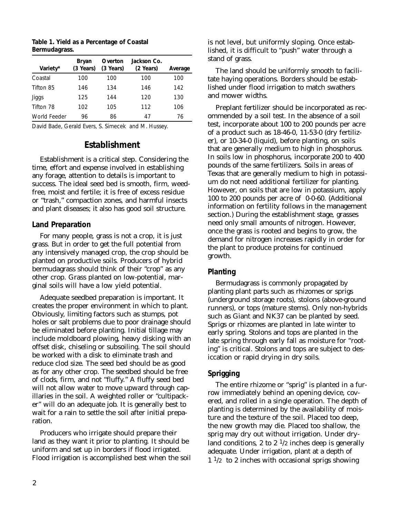| Variety*     | Bryan<br>(3 Years) | <b>Overton</b><br>(3 Years) | Jackson Co.<br>(2 Years) | <b>Average</b> |
|--------------|--------------------|-----------------------------|--------------------------|----------------|
| Coastal      | 100                | 100                         | 100                      | 100            |
| Tifton 85    | 146                | 134                         | 146                      | 142            |
| <b>Jiggs</b> | 125                | 144                         | 120                      | 130            |
| Tifton 78    | 102                | 105                         | 112                      | 106            |
| World Feeder | 96                 | 86                          | 47                       | 76             |

**Table 1. Yield as a Percentage of Coastal Bermudagrass.**

David Bade, Gerald Evers, S. Simecek and M. Hussey.

# **Establishment**

Establishment is a critical step. Considering the time, effort and expense involved in establishing any forage, attention to details is important to success. The ideal seed bed is smooth, firm, weedfree, moist and fertile; it is free of excess residue or "trash," compaction zones, and harmful insects and plant diseases; it also has good soil structure.

## *Land Preparation*

For many people, grass is not a crop, it is just grass. But in order to get the full potential from any intensively managed crop, the crop should be planted on productive soils. Producers of hybrid bermudagrass should think of their "crop" as any other crop. Grass planted on low-potential, marginal soils will have a low yield potential.

Adequate seedbed preparation is important. It creates the proper environment in which to plant. Obviously, limiting factors such as stumps, pot holes or salt problems due to poor drainage should be eliminated before planting. Initial tillage may include moldboard plowing, heavy disking with an offset disk, chiseling or subsoiling. The soil should be worked with a disk to eliminate trash and reduce clod size. The seed bed should be as good as for any other crop. The seedbed should be free of clods, firm, and not "fluffy." A fluffy seed bed will not allow water to move upward through capillaries in the soil. A weighted roller or "cultipacker" will do an adequate job. It is generally best to wait for a rain to settle the soil after initial preparation.

Producers who irrigate should prepare their land as they want it prior to planting. It should be uniform and set up in borders if flood irrigated. Flood irrigation is accomplished best when the soil is not level, but uniformly sloping. Once established, it is difficult to "push" water through a stand of grass.

The land should be uniformly smooth to facilitate haying operations. Borders should be established under flood irrigation to match swathers and mower widths.

Preplant fertilizer should be incorporated as recommended by a soil test. In the absence of a soil test, incorporate about 100 to 200 pounds per acre of a product such as 18-46-0, 11-53-0 (dry fertilizer), or 10-34-0 (liquid), before planting, on soils that are generally medium to high in phosphorus. In soils low in phosphorus, incorporate 200 to 400 pounds of the same fertilizers. Soils in areas of Texas that are generally medium to high in potassium do not need additional fertilizer for planting. However, on soils that are low in potassium, apply 100 to 200 pounds per acre of 0-0-60. (Additional information on fertility follows in the management section.) During the establishment stage, grasses need only small amounts of nitrogen. However, once the grass is rooted and begins to grow, the demand for nitrogen increases rapidly in order for the plant to produce proteins for continued growth.

# *Planting*

Bermudagrass is commonly propagated by planting plant parts such as rhizomes or sprigs (underground storage roots), stolons (above-ground runners), or tops (mature stems). Only non-hybrids such as Giant and NK37 can be planted by seed. Sprigs or rhizomes are planted in late winter to early spring. Stolons and tops are planted in the late spring through early fall as moisture for "rooting" is critical. Stolons and tops are subject to desiccation or rapid drying in dry soils.

# *Sprigging*

The entire rhizome or "sprig" is planted in a furrow immediately behind an opening device, covered, and rolled in a single operation. The depth of planting is determined by the availability of moisture and the texture of the soil. Placed too deep, the new growth may die. Placed too shallow, the sprig may dry out without irrigation. Under dryland conditions, 2 to 2  $\frac{1}{2}$  inches deep is generally adequate. Under irrigation, plant at a depth of  $1<sup>1</sup>/2$  to 2 inches with occasional sprigs showing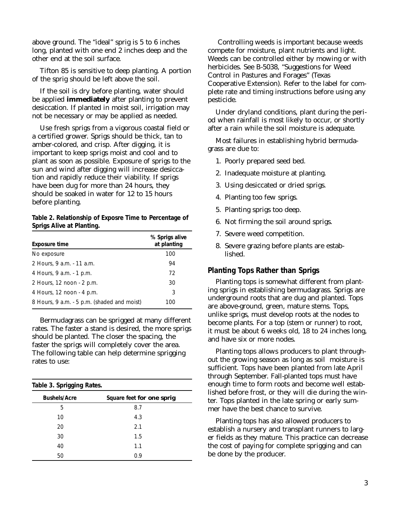above ground. The "ideal" sprig is 5 to 6 inches long, planted with one end 2 inches deep and the other end at the soil surface.

Tifton 85 is sensitive to deep planting. A portion of the sprig should be left above the soil.

If the soil is dry before planting, water should be applied **immediately** after planting to prevent desiccation. If planted in moist soil, irrigation may not be necessary or may be applied as needed.

Use fresh sprigs from a vigorous coastal field or a certified grower. Sprigs should be thick, tan to amber-colored, and crisp. After digging, it is important to keep sprigs moist and cool and to plant as soon as possible. Exposure of sprigs to the sun and wind after digging will increase desiccation and rapidly reduce their viability. If sprigs have been dug for more than 24 hours, they should be soaked in water for 12 to 15 hours before planting.

#### **Table 2. Relationship of Exposre Time to Percentage of Sprigs Alive at Planting.**

| <b>Exposure time</b>                            | % Sprigs alive<br>at planting |
|-------------------------------------------------|-------------------------------|
| No exposure                                     | 100                           |
| 2 Hours, 9 a.m. - 11 a.m.                       | 94                            |
| 4 Hours, 9 a.m. - 1 p.m.                        | 72                            |
| 2 Hours, 12 noon - 2 p.m.                       | 30                            |
| 4 Hours, $12 \text{ noon} \cdot 4 \text{ p.m.}$ | 3                             |
| 8 Hours, 9 a.m. - 5 p.m. (shaded and moist)     | 100                           |

Bermudagrass can be sprigged at many different rates. The faster a stand is desired, the more sprigs should be planted. The closer the spacing, the faster the sprigs will completely cover the area. The following table can help determine sprigging rates to use:

| <b>Table 3. Sprigging Rates.</b> |                           |  |  |
|----------------------------------|---------------------------|--|--|
| <b>Bushels/Acre</b>              | Square feet for one sprig |  |  |
| 5                                | 8.7                       |  |  |
| 10                               | 4.3                       |  |  |
| 20                               | 2.1                       |  |  |
| 30                               | 1.5                       |  |  |
| 40                               | 1.1                       |  |  |
| 50                               | 0.9                       |  |  |

Controlling weeds is important because weeds compete for moisture, plant nutrients and light. Weeds can be controlled either by mowing or with herbicides. See B-5038, "Suggestions for Weed Control in Pastures and Forages" (Texas Cooperative Extension). Refer to the label for complete rate and timing instructions before using any pesticide.

Under dryland conditions, plant during the period when rainfall is most likely to occur, or shortly after a rain while the soil moisture is adequate.

Most failures in establishing hybrid bermudagrass are due to:

- 1. Poorly prepared seed bed.
- 2. Inadequate moisture at planting.
- 3. Using desiccated or dried sprigs.
- 4. Planting too few sprigs.
- 5. Planting sprigs too deep.
- 6. Not firming the soil around sprigs.
- 7. Severe weed competition.
- 8. Severe grazing before plants are established.

# *Planting Tops Rather than Sprigs*

Planting tops is somewhat different from planting sprigs in establishing bermudagrass. Sprigs are underground roots that are dug and planted. Tops are above-ground, green, mature stems. Tops, unlike sprigs, must develop roots at the nodes to become plants. For a top (stem or runner) to root, it must be about 6 weeks old, 18 to 24 inches long, and have six or more nodes.

Planting tops allows producers to plant throughout the growing season as long as soil moisture is sufficient. Tops have been planted from late April through September. Fall-planted tops must have enough time to form roots and become well established before frost, or they will die during the winter. Tops planted in the late spring or early summer have the best chance to survive.

Planting tops has also allowed producers to establish a nursery and transplant runners to larger fields as they mature. This practice can decrease the cost of paying for complete sprigging and can be done by the producer.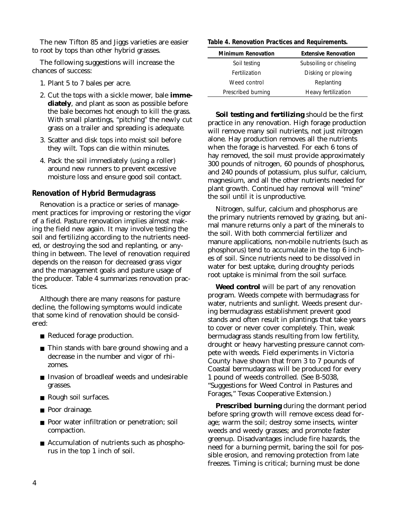The new Tifton 85 and Jiggs varieties are easier to root by tops than other hybrid grasses.

The following suggestions will increase the chances of success:

- 1. Plant 5 to 7 bales per acre.
- 2. Cut the tops with a sickle mower, bale **immediately**, and plant as soon as possible before the bale becomes hot enough to kill the grass. With small plantings, "pitching" the newly cut grass on a trailer and spreading is adequate.
- 3. Scatter and disk tops into moist soil before they wilt. Tops can die within minutes.
- 4. Pack the soil immediately (using a roller) around new runners to prevent excessive moisture loss and ensure good soil contact.

## *Renovation of Hybrid Bermudagrass*

Renovation is a practice or series of management practices for improving or restoring the vigor of a field. Pasture renovation implies almost making the field new again. It may involve testing the soil and fertilizing according to the nutrients needed, or destroying the sod and replanting, or anything in between. The level of renovation required depends on the reason for decreased grass vigor and the management goals and pasture usage of the producer. Table 4 summarizes renovation practices.

Although there are many reasons for pasture decline, the following symptoms would indicate that some kind of renovation should be considered:

- Reduced forage production.
- Thin stands with bare ground showing and a decrease in the number and vigor of rhizomes.
- Invasion of broadleaf weeds and undesirable grasses.
- Rough soil surfaces.
- Poor drainage.
- Poor water infiltration or penetration; soil compaction.
- Accumulation of nutrients such as phosphorus in the top 1 inch of soil.

#### **Table 4. Renovation Practices and Requirements.**

| <b>Minimum Renovation</b> | <b>Extensive Renovation</b> |  |  |
|---------------------------|-----------------------------|--|--|
| Soil testing              | Subsoiling or chiseling     |  |  |
| Fertilization             | Disking or plowing          |  |  |
| Weed control              | Replanting                  |  |  |
| Prescribed burning        | Heavy fertilization         |  |  |

**Soil testing and fertilizing** should be the first practice in any renovation. High forage production will remove many soil nutrients, not just nitrogen alone. Hay production removes all the nutrients when the forage is harvested. For each 6 tons of hay removed, the soil must provide approximately 300 pounds of nitrogen, 60 pounds of phosphorus, and 240 pounds of potassium, plus sulfur, calcium, magnesium, and all the other nutrients needed for plant growth. Continued hay removal will "mine" the soil until it is unproductive.

Nitrogen, sulfur, calcium and phosphorus are the primary nutrients removed by grazing, but animal manure returns only a part of the minerals to the soil. With both commercial fertilizer and manure applications, non-mobile nutrients (such as phosphorus) tend to accumulate in the top 6 inches of soil. Since nutrients need to be dissolved in water for best uptake, during droughty periods root uptake is minimal from the soil surface.

**Weed control** will be part of any renovation program. Weeds compete with bermudagrass for water, nutrients and sunlight. Weeds present during bermudagrass establishment prevent good stands and often result in plantings that take years to cover or never cover completely. Thin, weak bermudagrass stands resulting from low fertility, drought or heavy harvesting pressure cannot compete with weeds. Field experiments in Victoria County have shown that from 3 to 7 pounds of Coastal bermudagrass will be produced for every 1 pound of weeds controlled. (See B-5038, "Suggestions for Weed Control in Pastures and Forages," Texas Cooperative Extension.)

**Prescribed burning** during the dormant period before spring growth will remove excess dead forage; warm the soil; destroy some insects, winter weeds and weedy grasses; and promote faster greenup. Disadvantages include fire hazards, the need for a burning permit, baring the soil for possible erosion, and removing protection from late freezes. Timing is critical; burning must be done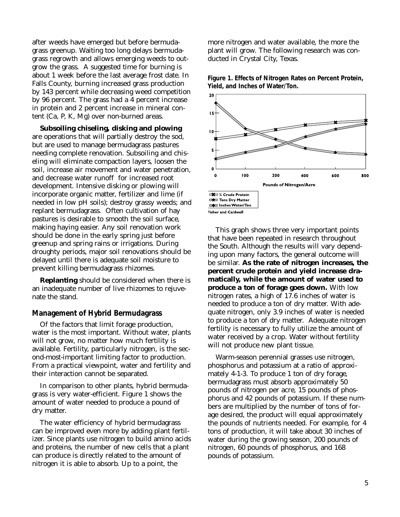after weeds have emerged but before bermudagrass greenup. Waiting too long delays bermudagrass regrowth and allows emerging weeds to outgrow the grass. A suggested time for burning is about 1 week before the last average frost date. In Falls County, burning increased grass production by 143 percent while decreasing weed competition by 96 percent. The grass had a 4 percent increase in protein and 2 percent increase in mineral content (Ca, P, K, Mg) over non-burned areas.

**Subsoiling chiseling, disking and plowing** are operations that will partially destroy the sod, but are used to manage bermudagrass pastures needing complete renovation. Subsoiling and chiseling will eliminate compaction layers, loosen the soil, increase air movement and water penetration, and decrease water runoff for increased root development. Intensive disking or plowing will incorporate organic matter, fertilizer and lime (if needed in low pH soils); destroy grassy weeds; and replant bermudagrass. Often cultivation of hay pastures is desirable to smooth the soil surface, making haying easier. Any soil renovation work should be done in the early spring just before greenup and spring rains or irrigations. During droughty periods, major soil renovations should be delayed until there is adequate soil moisture to prevent killing bermudagrass rhizomes.

**Replanting** should be considered when there is an inadequate number of live rhizomes to rejuvenate the stand.

### *Management of Hybrid Bermudagrass*

Of the factors that limit forage production, water is the most important. Without water, plants will not grow, no matter how much fertility is available. Fertility, particularly nitrogen, is the second-most-important limiting factor to production. From a practical viewpoint, water and fertility and their interaction cannot be separated.

In comparison to other plants, hybrid bermudagrass is very water-efficient. Figure 1 shows the amount of water needed to produce a pound of dry matter.

The water efficiency of hybrid bermudagrass can be improved even more by adding plant fertilizer. Since plants use nitrogen to build amino acids and proteins, the number of new cells that a plant can produce is directly related to the amount of nitrogen it is able to absorb. Up to a point, the

more nitrogen and water available, the more the plant will grow. The following research was conducted in Crystal City, Texas.



**Figure 1. Effects of Nitrogen Rates on Percent Protein, Yield, and Inches of Water/Ton.**

This graph shows three very important points that have been repeated in research throughout the South. Although the results will vary depending upon many factors, the general outcome will be similar. **As the rate of nitrogen increases, the percent crude protein and yield increase dramatically, while the amount of water used to produce a ton of forage goes down.** With low nitrogen rates, a high of 17.6 inches of water is needed to produce a ton of dry matter. With adequate nitrogen, only 3.9 inches of water is needed to produce a ton of dry matter. Adequate nitrogen fertility is necessary to fully utilize the amount of water received by a crop. Water without fertility will not produce new plant tissue.

Warm-season perennial grasses use nitrogen, phosphorus and potassium at a ratio of approximately 4-1-3. To produce 1 ton of dry forage, bermudagrass must absorb approximately 50 pounds of nitrogen per acre, 15 pounds of phosphorus and 42 pounds of potassium. If these numbers are multiplied by the number of tons of forage desired, the product will equal approximately the pounds of nutrients needed. For example, for 4 tons of production, it will take about 30 inches of water during the growing season, 200 pounds of nitrogen, 60 pounds of phosphorus, and 168 pounds of potassium.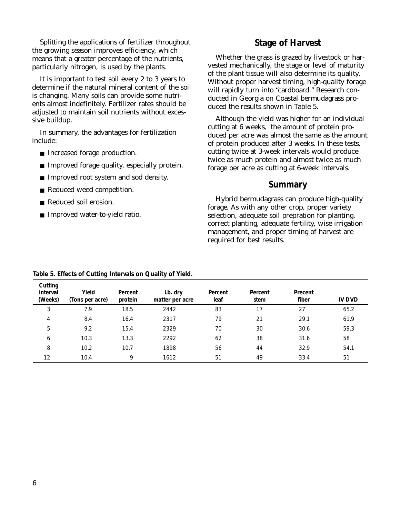Splitting the applications of fertilizer throughout the growing season improves efficiency, which means that a greater percentage of the nutrients, particularly nitrogen, is used by the plants.

It is important to test soil every 2 to 3 years to determine if the natural mineral content of the soil is changing. Many soils can provide some nutrients almost indefinitely. Fertilizer rates should be adjusted to maintain soil nutrients without excessive buildup.

In summary, the advantages for fertilization include:

- Increased forage production.
- Improved forage quality, especially protein.
- Improved root system and sod density.
- Reduced weed competition.
- Reduced soil erosion.
- Improved water-to-yield ratio.

# **Stage of Harvest**

Whether the grass is grazed by livestock or harvested mechanically, the stage or level of maturity of the plant tissue will also determine its quality. Without proper harvest timing, high-quality forage will rapidly turn into "cardboard." Research conducted in Georgia on Coastal bermudagrass produced the results shown in Table 5.

Although the yield was higher for an individual cutting at 6 weeks, the amount of protein produced per acre was almost the same as the amount of protein produced after 3 weeks. In these tests, cutting twice at 3-week intervals would produce twice as much protein and almost twice as much forage per acre as cutting at 6-week intervals.

## **Summary**

Hybrid bermudagrass can produce high-quality forage. As with any other crop, proper variety selection, adequate soil prepration for planting, correct planting, adequate fertility, wise irrigation management, and proper timing of harvest are required for best results.

| <b>Cutting</b><br><b>interval</b><br>(Weeks) | Yield<br>(Tons per acre) | Percent<br>protein | Lb. dry<br>matter per acre | <b>Percent</b><br>leaf | <b>Percent</b><br>stem | Precent<br>fiber | <b>IV DVD</b> |
|----------------------------------------------|--------------------------|--------------------|----------------------------|------------------------|------------------------|------------------|---------------|
| 3                                            | 7.9                      | 18.5               | 2442                       | 83                     | 17                     | 27               | 65.2          |
| 4                                            | 8.4                      | 16.4               | 2317                       | 79                     | 21                     | 29.1             | 61.9          |
| 5                                            | 9.2                      | 15.4               | 2329                       | 70                     | 30                     | 30.6             | 59.3          |
| 6                                            | 10.3                     | 13.3               | 2292                       | 62                     | 38                     | 31.6             | 58            |
| 8                                            | 10.2                     | 10.7               | 1898                       | 56                     | 44                     | 32.9             | 54.1          |
| 12                                           | 10.4                     | 9                  | 1612                       | 51                     | 49                     | 33.4             | 51            |

#### **Table 5. Effects of Cutting Intervals on Quality of Yield.**